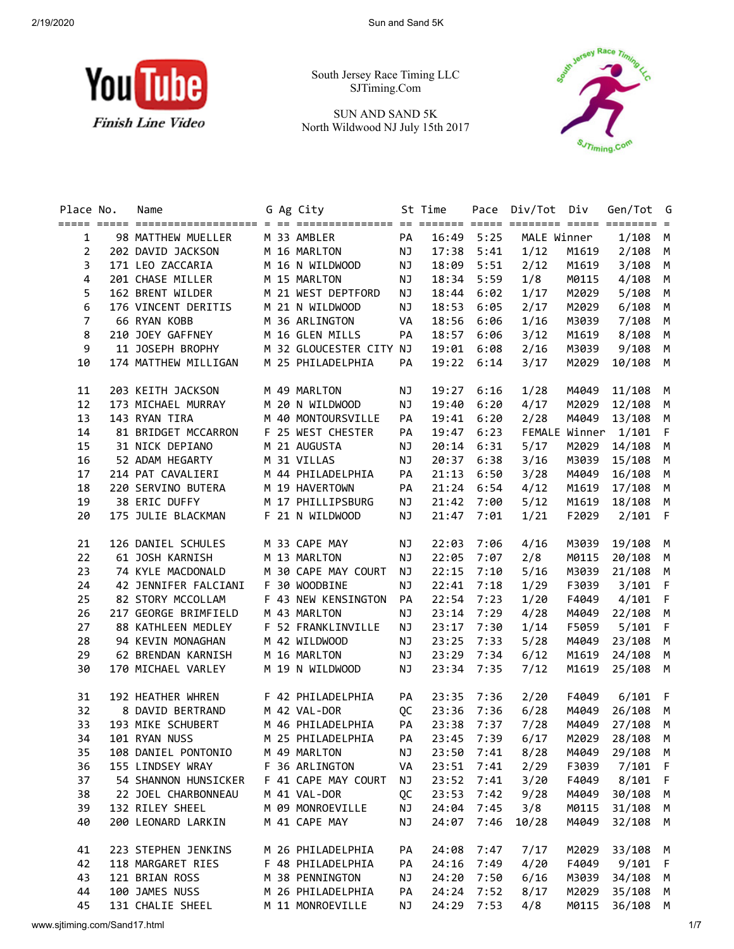

South Jersey Race Timing LLC SJTiming.Com

SUN AND SAND 5K North Wildwood NJ July 15th 2017



| Place No.               | Name<br><u>soore oode opposacheschesches a en consecuencence or oppose oode opposes oode opposes =</u> |  | G Ag City               |    | St Time      |      | Pace Div/Tot Div |       | Gen/Tot G             |     |
|-------------------------|--------------------------------------------------------------------------------------------------------|--|-------------------------|----|--------------|------|------------------|-------|-----------------------|-----|
| $\mathbf{1}$            | 98 MATTHEW MUELLER                                                                                     |  | M 33 AMBLER             | PA | 16:49 5:25   |      | MALE Winner      |       | $1/108$ M             |     |
| $\overline{2}$          | 202 DAVID JACKSON                                                                                      |  | M 16 MARLTON NJ         |    | 17:38 5:41   |      | 1/12             | M1619 | $2/108$ M             |     |
| 3                       | 171 LEO ZACCARIA                                                                                       |  | M 16 N WILDWOOD NJ      |    | 18:09 5:51   |      | 2/12             | M1619 | $3/108$ M             |     |
| $\overline{\mathbf{4}}$ | 201 CHASE MILLER                                                                                       |  | M 15 MARLTON            | NJ | 18:34 5:59   |      | 1/8              | M0115 | $4/108$ M             |     |
| 5                       | 162 BRENT WILDER                                                                                       |  | M 21 WEST DEPTFORD      | NJ | 18:44 6:02   |      | 1/17             | M2029 | $5/108$ M             |     |
| 6                       | 176 VINCENT DERITIS                                                                                    |  | M 21 N WILDWOOD         | NJ | 18:53        | 6:05 | 2/17             | M2029 | $6/108$ M             |     |
| $\overline{7}$          | 66 RYAN KOBB                                                                                           |  | M 36 ARLINGTON          | VA | 18:56 6:06   |      | 1/16             | M3039 | 7/108 M               |     |
| 8                       | 210 JOEY GAFFNEY<br>11 JOSEPH BROPHY                                                                   |  | M 16 GLEN MILLS         | PA | 18:57 6:06   |      | 3/12             | M1619 | 8/108 M               |     |
| 9                       |                                                                                                        |  | M 32 GLOUCESTER CITY NJ |    | 19:01 6:08   |      | 2/16             | M3039 | 9/108 M               |     |
| 10                      | 174 MATTHEW MILLIGAN                                                                                   |  | M 25 PHILADELPHIA       | PA | 19:22 6:14   |      | 3/17             | M2029 | 10/108 M              |     |
| 11                      | 203 KEITH JACKSON                                                                                      |  | M 49 MARLTON            | NJ | 19:27 6:16   |      | 1/28             | M4049 | 11/108 M              |     |
| 12                      | 173 MICHAEL MURRAY                                                                                     |  | M 20 N WILDWOOD         | NJ | 19:40 6:20   |      | 4/17             |       | M2029 12/108 M        |     |
| 13                      | 143 RYAN TIRA                                                                                          |  | M 40 MONTOURSVILLE      | PA | 19:41        | 6:20 | 2/28             | M4049 | 13/108 M              |     |
| 14                      | 81 BRIDGET MCCARRON                                                                                    |  | F 25 WEST CHESTER       | PA | 19:47        | 6:23 |                  |       | FEMALE Winner 1/101 F |     |
| 15                      | 31 NICK DEPIANO                                                                                        |  | M 21 AUGUSTA            | NJ | 20:14        | 6:31 | 5/17             | M2029 | 14/108 M              |     |
| 16                      | 52 ADAM HEGARTY                                                                                        |  | M 31 VILLAS             | NJ | 20:37        | 6:38 | 3/16             | M3039 | 15/108 M              |     |
| 17                      | 214 PAT CAVALIERI                                                                                      |  | M 44 PHILADELPHIA       | PA | 21:13        | 6:50 | 3/28             | M4049 | 16/108 M              |     |
| 18                      | 220 SERVINO BUTERA                                                                                     |  | M 19 HAVERTOWN          | PA | 21:24        | 6:54 | 4/12             | M1619 | 17/108 M              |     |
| 19                      | 38 ERIC DUFFY                                                                                          |  | M 17 PHILLIPSBURG       | NJ | 21:42 7:00   |      | 5/12             |       | M1619 18/108 M        |     |
| 20                      | 175 JULIE BLACKMAN                                                                                     |  | F 21 N WILDWOOD         | NJ | 21:47        | 7:01 | 1/21             | F2029 | $2/101$ F             |     |
| 21                      | 126 DANIEL SCHULES                                                                                     |  | M 33 CAPE MAY           | NJ | 22:03 7:06   |      | 4/16             |       | M3039 19/108 M        |     |
| 22                      | 61 JOSH KARNISH                                                                                        |  | M 13 MARLTON            | NJ | 22:05 7:07   |      | 2/8              |       | M0115 20/108 M        |     |
| 23                      | 74 KYLE MACDONALD                                                                                      |  | M 30 CAPE MAY COURT     | NJ | $22:15$ 7:10 |      | 5/16             |       | M3039 21/108 M        |     |
| 24                      | 42 JENNIFER FALCIANI                                                                                   |  | F 30 WOODBINE           | NJ | 22:41 7:18   |      | 1/29             | F3039 | $3/101$ F             |     |
| 25                      | 82 STORY MCCOLLAM                                                                                      |  | F 43 NEW KENSINGTON     | PA | 22:54 7:23   |      | 1/20             | F4049 | $4/101$ F             |     |
| 26                      | 217 GEORGE BRIMFIELD                                                                                   |  | M 43 MARLTON            | NJ | 23:14 7:29   |      | 4/28             | M4049 | 22/108 M              |     |
| 27                      | 88 KATHLEEN MEDLEY                                                                                     |  | F 52 FRANKLINVILLE      | NJ | 23:17 7:30   |      | 1/14             | F5059 | $5/101$ F             |     |
| 28                      | 94 KEVIN MONAGHAN                                                                                      |  | M 42 WILDWOOD           | NJ | 23:25 7:33   |      | 5/28             | M4049 | 23/108 M              |     |
| 29                      | 62 BRENDAN KARNISH                                                                                     |  | M 16 MARLTON            | NJ | 23:29 7:34   |      | 6/12             | M1619 | 24/108 M              |     |
| 30                      | 170 MICHAEL VARLEY                                                                                     |  | M 19 N WILDWOOD         | NJ | 23:34 7:35   |      | 7/12             | M1619 | 25/108 M              |     |
| 31                      | 192 HEATHER WHREN                                                                                      |  | F 42 PHILADELPHIA       | PA | 23:35 7:36   |      | 2/20             |       | F4049 6/101 F         |     |
| 32                      | 8 DAVID BERTRAND                                                                                       |  | M 42 VAL-DOR            | QC | 23:36 7:36   |      | 6/28             |       | M4049 26/108 M        |     |
| 33                      | 193 MIKE SCHUBERT                                                                                      |  | M 46 PHILADELPHIA       | PA | 23:38 7:37   |      | 7/28             | M4049 | 27/108 M              |     |
|                         | 34 101 RYAN NUSS M 25 PHILADELPHIA PA 23:45 7:39 6/17 M2029 28/108 M                                   |  |                         |    |              |      |                  |       |                       |     |
| 35                      | 108 DANIEL PONTONIO                                                                                    |  | M 49 MARLTON            | ΝJ | 23:50 7:41   |      | 8/28             | M4049 | 29/108                | M   |
| 36                      | 155 LINDSEY WRAY                                                                                       |  | F 36 ARLINGTON          | VA | 23:51 7:41   |      | 2/29             | F3039 | $7/101$ F             |     |
| 37                      | 54 SHANNON HUNSICKER                                                                                   |  | F 41 CAPE MAY COURT     | ΝJ | 23:52        | 7:41 | 3/20             | F4049 | 8/101                 | - F |
| 38                      | 22 JOEL CHARBONNEAU                                                                                    |  | M 41 VAL-DOR            | QC | 23:53        | 7:42 | 9/28             | M4049 | 30/108                | M   |
| 39                      | 132 RILEY SHEEL                                                                                        |  | M 09 MONROEVILLE        | ΝJ | 24:04        | 7:45 | 3/8              | M0115 | 31/108                | M   |
| 40                      | 200 LEONARD LARKIN                                                                                     |  | M 41 CAPE MAY           | ΝJ | 24:07        | 7:46 | 10/28            | M4049 | 32/108                | M   |
| 41                      | 223 STEPHEN JENKINS                                                                                    |  | M 26 PHILADELPHIA       | PA | 24:08        | 7:47 | 7/17             | M2029 | 33/108 M              |     |
| 42                      | 118 MARGARET RIES                                                                                      |  | F 48 PHILADELPHIA       | PA | 24:16        | 7:49 | 4/20             | F4049 | $9/101$ F             |     |
| 43                      | 121 BRIAN ROSS                                                                                         |  | M 38 PENNINGTON         | ΝJ | 24:20        | 7:50 | 6/16             | M3039 | 34/108 M              |     |
| 44                      | 100 JAMES NUSS                                                                                         |  | M 26 PHILADELPHIA       | PA | 24:24        | 7:52 | 8/17             | M2029 | 35/108 M              |     |
| 45                      | 131 CHALIE SHEEL                                                                                       |  | M 11 MONROEVILLE        | ΝJ | 24:29 7:53   |      | 4/8              | M0115 | 36/108 M              |     |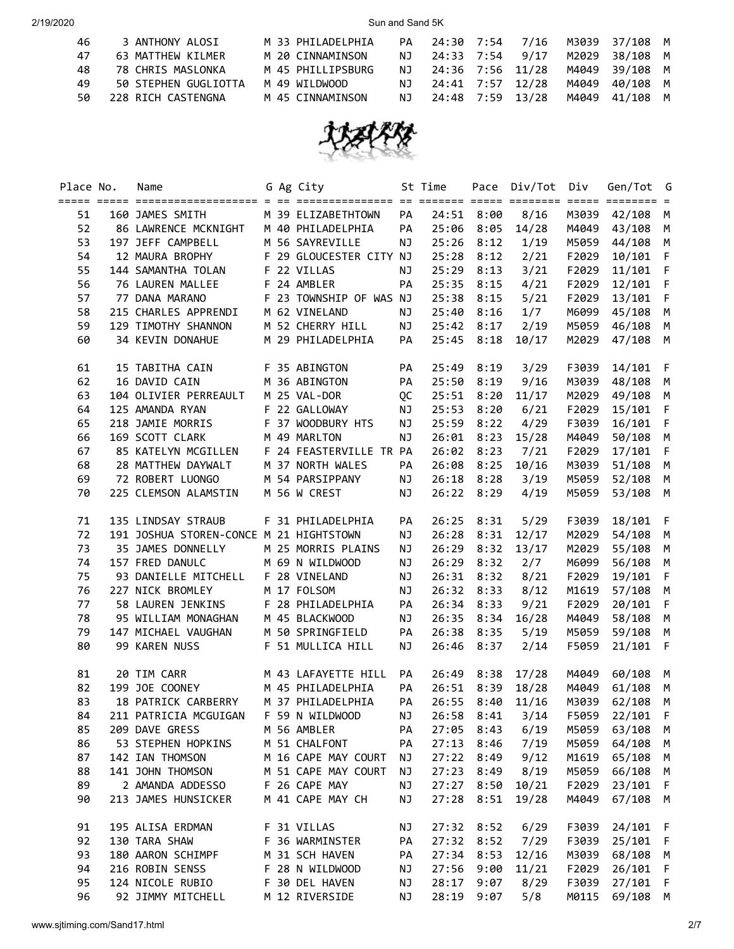| 46  | 3 ANTHONY ALOSI      | M 33 PHILADELPHIA | PA  | 24:30 7:54 7/16  |  |       | M3039 37/108 M |  |
|-----|----------------------|-------------------|-----|------------------|--|-------|----------------|--|
| 47  | 63 MATTHEW KILMER    | M 20 CINNAMINSON  | NJ. | 24:33 7:54 9/17  |  | M2029 | 38/108 M       |  |
| 48  | 78 CHRIS MASLONKA    | M 45 PHILLIPSBURG | NJ. | 24:36 7:56 11/28 |  |       | M4049 39/108 M |  |
| 49  | 50 STEPHEN GUGLIOTTA | M 49 WILDWOOD     | NJ. | 24:41 7:57 12/28 |  | M4049 | 40/108 M       |  |
| 50. | 228 RICH CASTENGNA   | M 45 CINNAMINSON  | NJ. | 24:48 7:59 13/28 |  |       | M4049 41/108 M |  |



| Place No. | Name<br><u>soore soore sooresconcescoores a or concesconcesco or soores soore concesco soore soores =</u> |  | G Ag City               |           | St Time    |      | Pace Div/Tot Div |       | Gen/Tot G      |     |
|-----------|-----------------------------------------------------------------------------------------------------------|--|-------------------------|-----------|------------|------|------------------|-------|----------------|-----|
| 51        | 160 JAMES SMITH                                                                                           |  | M 39 ELIZABETHTOWN      | PA        | 24:51 8:00 |      | 8/16             | M3039 | 42/108 M       |     |
| 52        |                                                                                                           |  |                         | PA        | 25:06 8:05 |      | 14/28            | M4049 | 43/108         | M   |
| 53        | 197 JEFF CAMPBELL                                                                                         |  | M 56 SAYREVILLE         | NJ        | 25:26 8:12 |      | 1/19             | M5059 | 44/108         | M   |
| 54        | 12 MAURA BROPHY                                                                                           |  | F 29 GLOUCESTER CITY NJ |           | 25:28      | 8:12 | 2/21             | F2029 | 10/101 F       |     |
| 55        | 144 SAMANTHA TOLAN F 22 VILLAS                                                                            |  |                         | NJ        | 25:29      | 8:13 | 3/21             | F2029 | 11/101         | F   |
| 56        | 76 LAUREN MALLEE                                                                                          |  | F 24 AMBLER             | PA        | 25:35      | 8:15 | 4/21             | F2029 | 12/101         | F   |
| 57        | 77 DANA MARANO                                                                                            |  | F 23 TOWNSHIP OF WAS NJ |           | 25:38      | 8:15 | 5/21             | F2029 | 13/101 F       |     |
| 58        | 215 CHARLES APPRENDI                                                                                      |  | M 62 VINELAND           | NJ        | 25:40      | 8:16 | 1/7              | M6099 | 45/108 M       |     |
| 59        | 129 TIMOTHY SHANNON                                                                                       |  | M 52 CHERRY HILL        | NJ        | 25:42 8:17 |      | 2/19             | M5059 | 46/108 M       |     |
| 60        | 34 KEVIN DONAHUE                                                                                          |  | M 29 PHILADELPHIA       | PA        | 25:45      | 8:18 | 10/17            |       | M2029 47/108 M |     |
| 61        | 15 TABITHA CAIN                                                                                           |  | F 35 ABINGTON           | PA        | 25:49 8:19 |      | 3/29             | F3039 | 14/101 F       |     |
| 62        | 16 DAVID CAIN                                                                                             |  | M 36 ABINGTON           | PA        | 25:50 8:19 |      | 9/16             |       | M3039 48/108 M |     |
| 63        | 104 OLIVIER PERREAULT                                                                                     |  | M 25 VAL-DOR            | QC        | 25:51 8:20 |      | 11/17            | M2029 | 49/108 M       |     |
| 64        | 125 AMANDA RYAN                                                                                           |  | F 22 GALLOWAY           | NJ        | 25:53      | 8:20 | 6/21             | F2029 | 15/101 F       |     |
| 65        | 218 JAMIE MORRIS                                                                                          |  | F 37 WOODBURY HTS       | NJ        | 25:59      | 8:22 | 4/29             | F3039 | 16/101 F       |     |
| 66        | 169 SCOTT CLARK                                                                                           |  | M 49 MARLTON            | NJ        | 26:01      | 8:23 | 15/28            | M4049 | 50/108 M       |     |
| 67        | 85 KATELYN MCGILLEN F 24 FEASTERVILLE TR PA                                                               |  |                         |           | 26:02      | 8:23 | 7/21             | F2029 | 17/101 F       |     |
| 68        | 28 MATTHEW DAYWALT                                                                                        |  | M 37 NORTH WALES        | PA        | 26:08      | 8:25 | 10/16            | M3039 | 51/108 M       |     |
| 69        | 72 ROBERT LUONGO                                                                                          |  | M 54 PARSIPPANY         | NJ        | 26:18      | 8:28 | 3/19             | M5059 | 52/108         | M   |
| 70        | 225 CLEMSON ALAMSTIN                                                                                      |  | M 56 W CREST            | NJ        | 26:22      | 8:29 | 4/19             | M5059 | 53/108 M       |     |
| 71        | 135 LINDSAY STRAUB                                                                                        |  | F 31 PHILADELPHIA       | PA        | 26:25 8:31 |      | 5/29             | F3039 | 18/101 F       |     |
| 72        | 191 JOSHUA STOREN-CONCE M 21 HIGHTSTOWN                                                                   |  |                         | <b>NJ</b> | 26:28 8:31 |      | 12/17            | M2029 | 54/108 M       |     |
| 73        | 35 JAMES DONNELLY                                                                                         |  | M 25 MORRIS PLAINS      | NJ        | 26:29 8:32 |      | 13/17            | M2029 | 55/108 M       |     |
| 74        | 157 FRED DANULC                                                                                           |  | M 69 N WILDWOOD         | NJ        | 26:29      | 8:32 | 2/7              | M6099 | 56/108 M       |     |
| 75        | 93 DANIELLE MITCHELL F 28 VINELAND                                                                        |  |                         | NJ        | 26:31 8:32 |      | 8/21             | F2029 | 19/101 F       |     |
| 76        | 227 NICK BROMLEY                                                                                          |  | M 17 FOLSOM             | NJ        | 26:32 8:33 |      | 8/12             | M1619 | 57/108 M       |     |
| 77        | 58 LAUREN JENKINS                                                                                         |  | F 28 PHILADELPHIA       | PA        | 26:34 8:33 |      | 9/21             | F2029 | 20/101 F       |     |
| 78        | 95 WILLIAM MONAGHAN                                                                                       |  | M 45 BLACKWOOD          | NJ        | 26:35 8:34 |      | 16/28            | M4049 | 58/108 M       |     |
| 79        | 147 MICHAEL VAUGHAN                                                                                       |  | M 50 SPRINGFIELD        | PA        | 26:38 8:35 |      | 5/19             | M5059 | 59/108 M       |     |
| 80        | 99 KAREN NUSS                                                                                             |  | F 51 MULLICA HILL       | NJ        | 26:46 8:37 |      | 2/14             | F5059 | 21/101 F       |     |
| 81        | 20 TIM CARR                                                                                               |  | M 43 LAFAYETTE HILL     | PA        | 26:49 8:38 |      | 17/28            |       | M4049 60/108 M |     |
| 82        | 199 JOE COONEY                                                                                            |  | M 45 PHILADELPHIA       | PA        | 26:51 8:39 |      | 18/28            | M4049 | 61/108         | M   |
| 83        | 18 PATRICK CARBERRY                                                                                       |  | M 37 PHILADELPHIA       | PA        | 26:55 8:40 |      | 11/16            | M3039 | 62/108 M       |     |
| 84        | 211 PATRICIA MCGUIGAN F 59 N WILDWOOD                                                                     |  |                         | NJ        | 26:58 8:41 |      | 3/14             | F5059 | 22/101 F       |     |
| 85        | 209 DAVE GRESS                                                                                            |  | M 56 AMBLER             | PA        | 27:05 8:43 |      | 6/19             | M5059 | 63/108         | M   |
| 86        | 53 STEPHEN HOPKINS                                                                                        |  | M 51 CHALFONT           | PA        | 27:13 8:46 |      | 7/19             |       | M5059 64/108   | M   |
| 87        | 142 IAN THOMSON                                                                                           |  | M 16 CAPE MAY COURT     | ΝJ        | 27:22 8:49 |      | 9/12             | M1619 | 65/108         | M   |
| 88        | 141 JOHN THOMSON                                                                                          |  | M 51 CAPE MAY COURT     | ΝJ        | 27:23      | 8:49 | 8/19             | M5059 | 66/108         | M   |
| 89        | 2 AMANDA ADDESSO                                                                                          |  | F 26 CAPE MAY           | ΝJ        | 27:27 8:50 |      | 10/21            | F2029 | 23/101 F       |     |
| 90        | 213 JAMES HUNSICKER                                                                                       |  | M 41 CAPE MAY CH        | ΝJ        | 27:28      | 8:51 | 19/28            | M4049 | 67/108         | M   |
| 91        | 195 ALISA ERDMAN                                                                                          |  | F 31 VILLAS             | ΝJ        | 27:32      | 8:52 | 6/29             | F3039 | 24/101         | - F |
| 92        | 130 TARA SHAW                                                                                             |  | F 36 WARMINSTER         | PA        | 27:32      | 8:52 | 7/29             | F3039 | 25/101         | -F  |
| 93        | 180 AARON SCHIMPF                                                                                         |  | M 31 SCH HAVEN          | PA        | 27:34      | 8:53 | 12/16            | M3039 | 68/108         | M   |
| 94        | 216 ROBIN SENSS                                                                                           |  | F 28 N WILDWOOD         | ΝJ        | 27:56      | 9:00 | 11/21            | F2029 | 26/101         | - F |
| 95        | 124 NICOLE RUBIO                                                                                          |  | F 30 DEL HAVEN          | ΝJ        | 28:17      | 9:07 | 8/29             | F3039 | 27/101 F       |     |
| 96        | 92 JIMMY MITCHELL                                                                                         |  | M 12 RIVERSIDE          | ΝJ        | 28:19 9:07 |      | 5/8              | M0115 | 69/108 M       |     |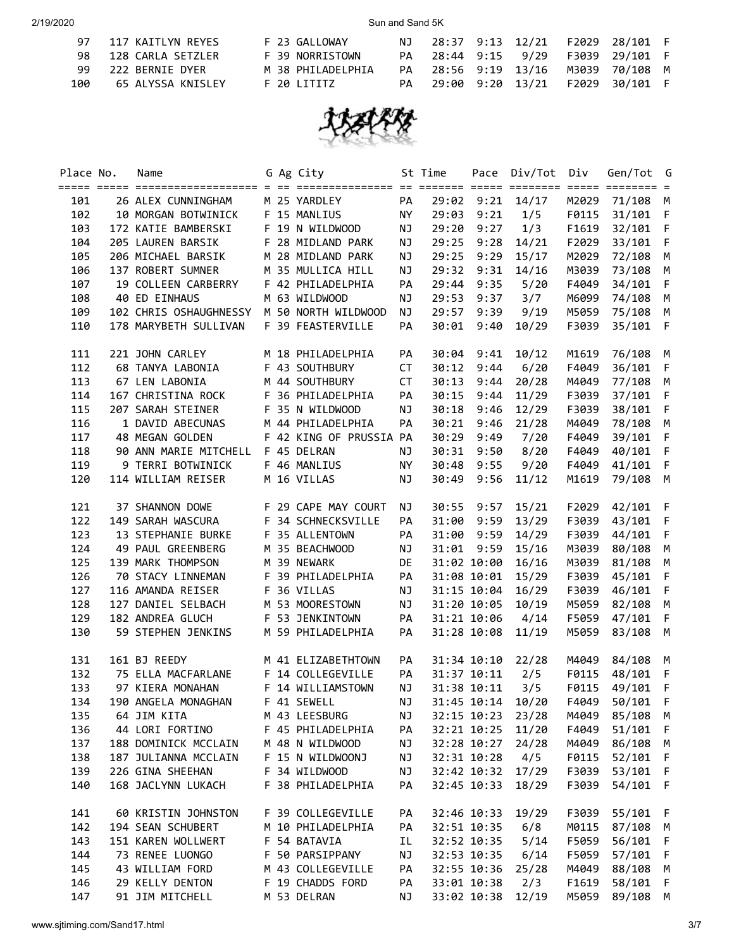|     | 97 117 KAITLYN REYES | F 23 GALLOWAY     | NJ. |  |  | 28:37 9:13 12/21 F2029 28/101 F    |  |
|-----|----------------------|-------------------|-----|--|--|------------------------------------|--|
|     | 98 128 CARLA SETZLER | F 39 NORRISTOWN   |     |  |  | PA 28:44 9:15 9/29 F3039 29/101 F  |  |
|     | 99 222 BERNIE DYER   | M 38 PHILADELPHIA |     |  |  | PA 28:56 9:19 13/16 M3039 70/108 M |  |
| 100 | 65 ALYSSA KNISLEY    | F 20 LITITZ       |     |  |  | PA 29:00 9:20 13/21 F2029 30/101 F |  |



| M 25 YARDLEY<br>26 ALEX CUNNINGHAM<br>PA<br>29:02 9:21 14/17<br>M2029 71/108 M<br>101<br>F 15 MANLIUS<br>29:03 9:21<br>1/5<br>31/101 F<br>102<br>10 MORGAN BOTWINICK<br>NY<br>F0115<br>172 KATIE BAMBERSKI<br>F 19 N WILDWOOD<br>29:20<br>9:27<br>1/3<br>F1619<br>32/101 F<br>103<br>NJ<br>205 LAUREN BARSIK<br>F 28 MIDLAND PARK<br>29:25 9:28<br>14/21<br>33/101 F<br>104<br>NJ<br>F2029<br>206 MICHAEL BARSIK<br>M 28 MIDLAND PARK<br>29:25 9:29<br>15/17<br>105<br>NJ<br>M2029 72/108<br>M<br>106<br>137 ROBERT SUMNER<br>M 35 MULLICA HILL<br>29:32 9:31<br>14/16<br>NJ<br>M3039<br>73/108 M<br>107<br>19 COLLEEN CARBERRY<br>F 42 PHILADELPHIA<br>29:44 9:35<br>5/20<br>F4049<br>PA<br>34/101 F<br>108<br>40 ED EINHAUS<br>M 63 WILDWOOD<br>29:53 9:37<br>3/7<br>M6099 74/108 M<br>NJ<br>102 CHRIS OSHAUGHNESSY M 50 NORTH WILDWOOD<br>29:57 9:39<br>9/19<br>109<br>NJ<br>M5059 75/108 M<br>178 MARYBETH SULLIVAN<br>F 39 FEASTERVILLE<br>30:01 9:40<br>10/29<br>110<br>PA<br>F3039 35/101 F<br>221 JOHN CARLEY<br>111<br>M 18 PHILADELPHIA<br>PA<br>30:04<br>9:41<br>10/12<br>M1619<br>76/108 M<br>112<br>68 TANYA LABONIA<br>F 43 SOUTHBURY<br><b>CT</b><br>6/20<br>36/101 F<br>30:12<br>9:44<br>F4049<br>67 LEN LABONIA<br>M 44 SOUTHBURY<br><b>CT</b><br>20/28<br>77/108 M<br>113<br>30:13<br>9:44<br>M4049<br>167 CHRISTINA ROCK<br>F 36 PHILADELPHIA<br>30:15<br>11/29<br>37/101 F<br>114<br>PA<br>9:44<br>F3039<br>207 SARAH STEINER<br>F 35 N WILDWOOD<br>30:18<br>12/29<br>38/101 F<br>115<br>NJ<br>9:46<br>F3039<br>1 DAVID ABECUNAS<br>M 44 PHILADELPHIA<br>78/108 M<br>116<br>PA<br>30:21<br>9:46<br>21/28<br>M4049<br>48 MEGAN GOLDEN<br>F 42 KING OF PRUSSIA PA<br>39/101 F<br>117<br>30:29<br>9:49<br>7/20<br>F4049<br>90 ANN MARIE MITCHELL<br>F 45 DELRAN<br>8/20<br>40/101 F<br>118<br>30:31<br>9:50<br>F4049<br>NJ<br>9 TERRI BOTWINICK<br>F 46 MANLIUS<br>30:48<br>9:55<br>9/20<br>41/101 F<br>119<br><b>NY</b><br>F4049<br>120<br>114 WILLIAM REISER<br>M 16 VILLAS<br>NJ<br>30:49<br>9:56<br>11/12<br>M1619<br>79/108 M<br>121<br>37 SHANNON DOWE F 29 CAPE MAY COURT<br>30:55 9:57<br>F2029 42/101 F<br>NJ<br>15/21<br>122<br>149 SARAH WASCURA<br>F 34 SCHNECKSVILLE<br>31:00 9:59<br>13/29<br>PA<br>F3039 43/101 F<br>123<br>F 35 ALLENTOWN<br>31:00 9:59<br>13 STEPHANIE BURKE<br>PA<br>14/29<br>F3039 44/101 F<br>31:01 9:59<br>124<br>49 PAUL GREENBERG<br>M 35 BEACHWOOD<br>15/16<br>M3039 80/108 M<br>ΝJ<br>139 MARK THOMPSON<br>DE<br>31:02 10:00<br>125<br>M 39 NEWARK<br>16/16<br>M3039 81/108 M<br>70 STACY LINNEMAN<br>F 39 PHILADELPHIA<br>PA<br>31:08 10:01<br>15/29<br>F3039 45/101 F<br>126<br>116 AMANDA REISER<br>F 36 VILLAS<br>31:15 10:04<br>16/29<br>46/101 F<br>127<br>NJ<br>F3039<br>127 DANIEL SELBACH<br>M 53 MOORESTOWN<br>31:20 10:05<br>128<br>NJ<br>10/19<br>M5059<br>82/108 M<br>129<br>182 ANDREA GLUCH<br>F 53 JENKINTOWN<br>31:21 10:06 4/14<br>F5059<br>47/101 F<br>PA<br>130<br>59 STEPHEN JENKINS<br>M 59 PHILADELPHIA<br>PA<br>31:28 10:08<br>11/19<br>M5059<br>83/108 M<br>161 BJ REEDY<br>M 41 ELIZABETHTOWN<br>PA<br>31:34 10:10<br>22/28<br>M4049 84/108 M<br>131<br>132<br>75 ELLA MACFARLANE<br>F 14 COLLEGEVILLE<br>31:37 10:11<br>2/5<br>PA<br>F0115 48/101 F<br>97 KIERA MONAHAN<br>F 14 WILLIAMSTOWN<br>31:38 10:11<br>3/5<br>F0115 49/101 F<br>133<br>NJ.<br>134 190 ANGELA MONAGHAN F 41 SEWELL NJ 31:45 10:14 10/20 F4049 50/101 F<br>85/108<br>135<br>64 JIM KITA<br>M 43 LEESBURG<br>32:15 10:23<br>23/28<br>M4049<br>ΝJ<br>M<br>136<br>44 LORI FORTINO<br>F 45 PHILADELPHIA<br>32:21 10:25<br>11/20<br>F4049<br>51/101<br>PA<br>- F<br>137<br>32:28 10:27<br>24/28<br>M4049<br>86/108<br>188 DOMINICK MCCLAIN<br>M 48 N WILDWOOD<br>ΝJ<br>M<br>138<br>32:31 10:28<br>4/5<br>F0115<br>52/101<br>187 JULIANNA MCCLAIN<br>F 15 N WILDWOONJ<br>ΝJ<br>- F<br>139<br>226 GINA SHEEHAN<br>F 34 WILDWOOD<br>32:42 10:32<br>17/29<br>F3039<br>53/101<br>$\mathsf{F}$<br>ΝJ<br>140<br>168 JACLYNN LUKACH<br>F 38 PHILADELPHIA<br>32:45 10:33<br>18/29<br>F3039<br>54/101<br>$\mathsf{F}$<br>PA<br>141<br>60 KRISTIN JOHNSTON<br>F 39 COLLEGEVILLE<br>PA<br>32:46 10:33<br>19/29<br>F3039<br>55/101<br>F<br>142<br>194 SEAN SCHUBERT<br>M 10 PHILADELPHIA<br>PA<br>32:51 10:35<br>6/8<br>M0115<br>87/108<br>M<br>143<br>151 KAREN WOLLWERT<br>F 54 BATAVIA<br>32:52 10:35<br>5/14<br>F5059<br>56/101<br>IL<br>- F<br>144<br>73 RENEE LUONGO<br>F 50 PARSIPPANY<br>ΝJ<br>32:53 10:35<br>6/14<br>F5059<br>57/101<br>- F<br>145<br>43 WILLIAM FORD<br>M 43 COLLEGEVILLE<br>32:55 10:36<br>25/28<br>PA<br>M4049<br>88/108<br>M<br>146<br>29 KELLY DENTON<br>F 19 CHADDS FORD<br>33:01 10:38<br>F1619<br>58/101<br>PA<br>2/3<br>- F<br>91 JIM MITCHELL<br>147<br>M 53 DELRAN<br>33:02 10:38<br>12/19<br>M5059<br>89/108<br>ΝJ<br>M | Place No. | Name |  | G Ag City | St Time | Pace Div/Tot Div | Gen/Tot G |  |
|-------------------------------------------------------------------------------------------------------------------------------------------------------------------------------------------------------------------------------------------------------------------------------------------------------------------------------------------------------------------------------------------------------------------------------------------------------------------------------------------------------------------------------------------------------------------------------------------------------------------------------------------------------------------------------------------------------------------------------------------------------------------------------------------------------------------------------------------------------------------------------------------------------------------------------------------------------------------------------------------------------------------------------------------------------------------------------------------------------------------------------------------------------------------------------------------------------------------------------------------------------------------------------------------------------------------------------------------------------------------------------------------------------------------------------------------------------------------------------------------------------------------------------------------------------------------------------------------------------------------------------------------------------------------------------------------------------------------------------------------------------------------------------------------------------------------------------------------------------------------------------------------------------------------------------------------------------------------------------------------------------------------------------------------------------------------------------------------------------------------------------------------------------------------------------------------------------------------------------------------------------------------------------------------------------------------------------------------------------------------------------------------------------------------------------------------------------------------------------------------------------------------------------------------------------------------------------------------------------------------------------------------------------------------------------------------------------------------------------------------------------------------------------------------------------------------------------------------------------------------------------------------------------------------------------------------------------------------------------------------------------------------------------------------------------------------------------------------------------------------------------------------------------------------------------------------------------------------------------------------------------------------------------------------------------------------------------------------------------------------------------------------------------------------------------------------------------------------------------------------------------------------------------------------------------------------------------------------------------------------------------------------------------------------------------------------------------------------------------------------------------------------------------------------------------------------------------------------------------------------------------------------------------------------------------------------------------------------------------------------------------------------------------------------------------------------------------------------------------------------------------------------------------------------------------------------------------------------------------------------------------------------------------------------------------------------------------------------------------------------------------------------------------------------------------------------------------------------------------------------------------------------------------------------------------------------------------------------------------------------------------------------------------------------------------------------------------------------------------------------------------------------------------------------------------|-----------|------|--|-----------|---------|------------------|-----------|--|
|                                                                                                                                                                                                                                                                                                                                                                                                                                                                                                                                                                                                                                                                                                                                                                                                                                                                                                                                                                                                                                                                                                                                                                                                                                                                                                                                                                                                                                                                                                                                                                                                                                                                                                                                                                                                                                                                                                                                                                                                                                                                                                                                                                                                                                                                                                                                                                                                                                                                                                                                                                                                                                                                                                                                                                                                                                                                                                                                                                                                                                                                                                                                                                                                                                                                                                                                                                                                                                                                                                                                                                                                                                                                                                                                                                                                                                                                                                                                                                                                                                                                                                                                                                                                                                                                                                                                                                                                                                                                                                                                                                                                                                                                                                                                                                                                       |           |      |  |           |         |                  |           |  |
|                                                                                                                                                                                                                                                                                                                                                                                                                                                                                                                                                                                                                                                                                                                                                                                                                                                                                                                                                                                                                                                                                                                                                                                                                                                                                                                                                                                                                                                                                                                                                                                                                                                                                                                                                                                                                                                                                                                                                                                                                                                                                                                                                                                                                                                                                                                                                                                                                                                                                                                                                                                                                                                                                                                                                                                                                                                                                                                                                                                                                                                                                                                                                                                                                                                                                                                                                                                                                                                                                                                                                                                                                                                                                                                                                                                                                                                                                                                                                                                                                                                                                                                                                                                                                                                                                                                                                                                                                                                                                                                                                                                                                                                                                                                                                                                                       |           |      |  |           |         |                  |           |  |
|                                                                                                                                                                                                                                                                                                                                                                                                                                                                                                                                                                                                                                                                                                                                                                                                                                                                                                                                                                                                                                                                                                                                                                                                                                                                                                                                                                                                                                                                                                                                                                                                                                                                                                                                                                                                                                                                                                                                                                                                                                                                                                                                                                                                                                                                                                                                                                                                                                                                                                                                                                                                                                                                                                                                                                                                                                                                                                                                                                                                                                                                                                                                                                                                                                                                                                                                                                                                                                                                                                                                                                                                                                                                                                                                                                                                                                                                                                                                                                                                                                                                                                                                                                                                                                                                                                                                                                                                                                                                                                                                                                                                                                                                                                                                                                                                       |           |      |  |           |         |                  |           |  |
|                                                                                                                                                                                                                                                                                                                                                                                                                                                                                                                                                                                                                                                                                                                                                                                                                                                                                                                                                                                                                                                                                                                                                                                                                                                                                                                                                                                                                                                                                                                                                                                                                                                                                                                                                                                                                                                                                                                                                                                                                                                                                                                                                                                                                                                                                                                                                                                                                                                                                                                                                                                                                                                                                                                                                                                                                                                                                                                                                                                                                                                                                                                                                                                                                                                                                                                                                                                                                                                                                                                                                                                                                                                                                                                                                                                                                                                                                                                                                                                                                                                                                                                                                                                                                                                                                                                                                                                                                                                                                                                                                                                                                                                                                                                                                                                                       |           |      |  |           |         |                  |           |  |
|                                                                                                                                                                                                                                                                                                                                                                                                                                                                                                                                                                                                                                                                                                                                                                                                                                                                                                                                                                                                                                                                                                                                                                                                                                                                                                                                                                                                                                                                                                                                                                                                                                                                                                                                                                                                                                                                                                                                                                                                                                                                                                                                                                                                                                                                                                                                                                                                                                                                                                                                                                                                                                                                                                                                                                                                                                                                                                                                                                                                                                                                                                                                                                                                                                                                                                                                                                                                                                                                                                                                                                                                                                                                                                                                                                                                                                                                                                                                                                                                                                                                                                                                                                                                                                                                                                                                                                                                                                                                                                                                                                                                                                                                                                                                                                                                       |           |      |  |           |         |                  |           |  |
|                                                                                                                                                                                                                                                                                                                                                                                                                                                                                                                                                                                                                                                                                                                                                                                                                                                                                                                                                                                                                                                                                                                                                                                                                                                                                                                                                                                                                                                                                                                                                                                                                                                                                                                                                                                                                                                                                                                                                                                                                                                                                                                                                                                                                                                                                                                                                                                                                                                                                                                                                                                                                                                                                                                                                                                                                                                                                                                                                                                                                                                                                                                                                                                                                                                                                                                                                                                                                                                                                                                                                                                                                                                                                                                                                                                                                                                                                                                                                                                                                                                                                                                                                                                                                                                                                                                                                                                                                                                                                                                                                                                                                                                                                                                                                                                                       |           |      |  |           |         |                  |           |  |
|                                                                                                                                                                                                                                                                                                                                                                                                                                                                                                                                                                                                                                                                                                                                                                                                                                                                                                                                                                                                                                                                                                                                                                                                                                                                                                                                                                                                                                                                                                                                                                                                                                                                                                                                                                                                                                                                                                                                                                                                                                                                                                                                                                                                                                                                                                                                                                                                                                                                                                                                                                                                                                                                                                                                                                                                                                                                                                                                                                                                                                                                                                                                                                                                                                                                                                                                                                                                                                                                                                                                                                                                                                                                                                                                                                                                                                                                                                                                                                                                                                                                                                                                                                                                                                                                                                                                                                                                                                                                                                                                                                                                                                                                                                                                                                                                       |           |      |  |           |         |                  |           |  |
|                                                                                                                                                                                                                                                                                                                                                                                                                                                                                                                                                                                                                                                                                                                                                                                                                                                                                                                                                                                                                                                                                                                                                                                                                                                                                                                                                                                                                                                                                                                                                                                                                                                                                                                                                                                                                                                                                                                                                                                                                                                                                                                                                                                                                                                                                                                                                                                                                                                                                                                                                                                                                                                                                                                                                                                                                                                                                                                                                                                                                                                                                                                                                                                                                                                                                                                                                                                                                                                                                                                                                                                                                                                                                                                                                                                                                                                                                                                                                                                                                                                                                                                                                                                                                                                                                                                                                                                                                                                                                                                                                                                                                                                                                                                                                                                                       |           |      |  |           |         |                  |           |  |
|                                                                                                                                                                                                                                                                                                                                                                                                                                                                                                                                                                                                                                                                                                                                                                                                                                                                                                                                                                                                                                                                                                                                                                                                                                                                                                                                                                                                                                                                                                                                                                                                                                                                                                                                                                                                                                                                                                                                                                                                                                                                                                                                                                                                                                                                                                                                                                                                                                                                                                                                                                                                                                                                                                                                                                                                                                                                                                                                                                                                                                                                                                                                                                                                                                                                                                                                                                                                                                                                                                                                                                                                                                                                                                                                                                                                                                                                                                                                                                                                                                                                                                                                                                                                                                                                                                                                                                                                                                                                                                                                                                                                                                                                                                                                                                                                       |           |      |  |           |         |                  |           |  |
|                                                                                                                                                                                                                                                                                                                                                                                                                                                                                                                                                                                                                                                                                                                                                                                                                                                                                                                                                                                                                                                                                                                                                                                                                                                                                                                                                                                                                                                                                                                                                                                                                                                                                                                                                                                                                                                                                                                                                                                                                                                                                                                                                                                                                                                                                                                                                                                                                                                                                                                                                                                                                                                                                                                                                                                                                                                                                                                                                                                                                                                                                                                                                                                                                                                                                                                                                                                                                                                                                                                                                                                                                                                                                                                                                                                                                                                                                                                                                                                                                                                                                                                                                                                                                                                                                                                                                                                                                                                                                                                                                                                                                                                                                                                                                                                                       |           |      |  |           |         |                  |           |  |
|                                                                                                                                                                                                                                                                                                                                                                                                                                                                                                                                                                                                                                                                                                                                                                                                                                                                                                                                                                                                                                                                                                                                                                                                                                                                                                                                                                                                                                                                                                                                                                                                                                                                                                                                                                                                                                                                                                                                                                                                                                                                                                                                                                                                                                                                                                                                                                                                                                                                                                                                                                                                                                                                                                                                                                                                                                                                                                                                                                                                                                                                                                                                                                                                                                                                                                                                                                                                                                                                                                                                                                                                                                                                                                                                                                                                                                                                                                                                                                                                                                                                                                                                                                                                                                                                                                                                                                                                                                                                                                                                                                                                                                                                                                                                                                                                       |           |      |  |           |         |                  |           |  |
|                                                                                                                                                                                                                                                                                                                                                                                                                                                                                                                                                                                                                                                                                                                                                                                                                                                                                                                                                                                                                                                                                                                                                                                                                                                                                                                                                                                                                                                                                                                                                                                                                                                                                                                                                                                                                                                                                                                                                                                                                                                                                                                                                                                                                                                                                                                                                                                                                                                                                                                                                                                                                                                                                                                                                                                                                                                                                                                                                                                                                                                                                                                                                                                                                                                                                                                                                                                                                                                                                                                                                                                                                                                                                                                                                                                                                                                                                                                                                                                                                                                                                                                                                                                                                                                                                                                                                                                                                                                                                                                                                                                                                                                                                                                                                                                                       |           |      |  |           |         |                  |           |  |
|                                                                                                                                                                                                                                                                                                                                                                                                                                                                                                                                                                                                                                                                                                                                                                                                                                                                                                                                                                                                                                                                                                                                                                                                                                                                                                                                                                                                                                                                                                                                                                                                                                                                                                                                                                                                                                                                                                                                                                                                                                                                                                                                                                                                                                                                                                                                                                                                                                                                                                                                                                                                                                                                                                                                                                                                                                                                                                                                                                                                                                                                                                                                                                                                                                                                                                                                                                                                                                                                                                                                                                                                                                                                                                                                                                                                                                                                                                                                                                                                                                                                                                                                                                                                                                                                                                                                                                                                                                                                                                                                                                                                                                                                                                                                                                                                       |           |      |  |           |         |                  |           |  |
|                                                                                                                                                                                                                                                                                                                                                                                                                                                                                                                                                                                                                                                                                                                                                                                                                                                                                                                                                                                                                                                                                                                                                                                                                                                                                                                                                                                                                                                                                                                                                                                                                                                                                                                                                                                                                                                                                                                                                                                                                                                                                                                                                                                                                                                                                                                                                                                                                                                                                                                                                                                                                                                                                                                                                                                                                                                                                                                                                                                                                                                                                                                                                                                                                                                                                                                                                                                                                                                                                                                                                                                                                                                                                                                                                                                                                                                                                                                                                                                                                                                                                                                                                                                                                                                                                                                                                                                                                                                                                                                                                                                                                                                                                                                                                                                                       |           |      |  |           |         |                  |           |  |
|                                                                                                                                                                                                                                                                                                                                                                                                                                                                                                                                                                                                                                                                                                                                                                                                                                                                                                                                                                                                                                                                                                                                                                                                                                                                                                                                                                                                                                                                                                                                                                                                                                                                                                                                                                                                                                                                                                                                                                                                                                                                                                                                                                                                                                                                                                                                                                                                                                                                                                                                                                                                                                                                                                                                                                                                                                                                                                                                                                                                                                                                                                                                                                                                                                                                                                                                                                                                                                                                                                                                                                                                                                                                                                                                                                                                                                                                                                                                                                                                                                                                                                                                                                                                                                                                                                                                                                                                                                                                                                                                                                                                                                                                                                                                                                                                       |           |      |  |           |         |                  |           |  |
|                                                                                                                                                                                                                                                                                                                                                                                                                                                                                                                                                                                                                                                                                                                                                                                                                                                                                                                                                                                                                                                                                                                                                                                                                                                                                                                                                                                                                                                                                                                                                                                                                                                                                                                                                                                                                                                                                                                                                                                                                                                                                                                                                                                                                                                                                                                                                                                                                                                                                                                                                                                                                                                                                                                                                                                                                                                                                                                                                                                                                                                                                                                                                                                                                                                                                                                                                                                                                                                                                                                                                                                                                                                                                                                                                                                                                                                                                                                                                                                                                                                                                                                                                                                                                                                                                                                                                                                                                                                                                                                                                                                                                                                                                                                                                                                                       |           |      |  |           |         |                  |           |  |
|                                                                                                                                                                                                                                                                                                                                                                                                                                                                                                                                                                                                                                                                                                                                                                                                                                                                                                                                                                                                                                                                                                                                                                                                                                                                                                                                                                                                                                                                                                                                                                                                                                                                                                                                                                                                                                                                                                                                                                                                                                                                                                                                                                                                                                                                                                                                                                                                                                                                                                                                                                                                                                                                                                                                                                                                                                                                                                                                                                                                                                                                                                                                                                                                                                                                                                                                                                                                                                                                                                                                                                                                                                                                                                                                                                                                                                                                                                                                                                                                                                                                                                                                                                                                                                                                                                                                                                                                                                                                                                                                                                                                                                                                                                                                                                                                       |           |      |  |           |         |                  |           |  |
|                                                                                                                                                                                                                                                                                                                                                                                                                                                                                                                                                                                                                                                                                                                                                                                                                                                                                                                                                                                                                                                                                                                                                                                                                                                                                                                                                                                                                                                                                                                                                                                                                                                                                                                                                                                                                                                                                                                                                                                                                                                                                                                                                                                                                                                                                                                                                                                                                                                                                                                                                                                                                                                                                                                                                                                                                                                                                                                                                                                                                                                                                                                                                                                                                                                                                                                                                                                                                                                                                                                                                                                                                                                                                                                                                                                                                                                                                                                                                                                                                                                                                                                                                                                                                                                                                                                                                                                                                                                                                                                                                                                                                                                                                                                                                                                                       |           |      |  |           |         |                  |           |  |
|                                                                                                                                                                                                                                                                                                                                                                                                                                                                                                                                                                                                                                                                                                                                                                                                                                                                                                                                                                                                                                                                                                                                                                                                                                                                                                                                                                                                                                                                                                                                                                                                                                                                                                                                                                                                                                                                                                                                                                                                                                                                                                                                                                                                                                                                                                                                                                                                                                                                                                                                                                                                                                                                                                                                                                                                                                                                                                                                                                                                                                                                                                                                                                                                                                                                                                                                                                                                                                                                                                                                                                                                                                                                                                                                                                                                                                                                                                                                                                                                                                                                                                                                                                                                                                                                                                                                                                                                                                                                                                                                                                                                                                                                                                                                                                                                       |           |      |  |           |         |                  |           |  |
|                                                                                                                                                                                                                                                                                                                                                                                                                                                                                                                                                                                                                                                                                                                                                                                                                                                                                                                                                                                                                                                                                                                                                                                                                                                                                                                                                                                                                                                                                                                                                                                                                                                                                                                                                                                                                                                                                                                                                                                                                                                                                                                                                                                                                                                                                                                                                                                                                                                                                                                                                                                                                                                                                                                                                                                                                                                                                                                                                                                                                                                                                                                                                                                                                                                                                                                                                                                                                                                                                                                                                                                                                                                                                                                                                                                                                                                                                                                                                                                                                                                                                                                                                                                                                                                                                                                                                                                                                                                                                                                                                                                                                                                                                                                                                                                                       |           |      |  |           |         |                  |           |  |
|                                                                                                                                                                                                                                                                                                                                                                                                                                                                                                                                                                                                                                                                                                                                                                                                                                                                                                                                                                                                                                                                                                                                                                                                                                                                                                                                                                                                                                                                                                                                                                                                                                                                                                                                                                                                                                                                                                                                                                                                                                                                                                                                                                                                                                                                                                                                                                                                                                                                                                                                                                                                                                                                                                                                                                                                                                                                                                                                                                                                                                                                                                                                                                                                                                                                                                                                                                                                                                                                                                                                                                                                                                                                                                                                                                                                                                                                                                                                                                                                                                                                                                                                                                                                                                                                                                                                                                                                                                                                                                                                                                                                                                                                                                                                                                                                       |           |      |  |           |         |                  |           |  |
|                                                                                                                                                                                                                                                                                                                                                                                                                                                                                                                                                                                                                                                                                                                                                                                                                                                                                                                                                                                                                                                                                                                                                                                                                                                                                                                                                                                                                                                                                                                                                                                                                                                                                                                                                                                                                                                                                                                                                                                                                                                                                                                                                                                                                                                                                                                                                                                                                                                                                                                                                                                                                                                                                                                                                                                                                                                                                                                                                                                                                                                                                                                                                                                                                                                                                                                                                                                                                                                                                                                                                                                                                                                                                                                                                                                                                                                                                                                                                                                                                                                                                                                                                                                                                                                                                                                                                                                                                                                                                                                                                                                                                                                                                                                                                                                                       |           |      |  |           |         |                  |           |  |
|                                                                                                                                                                                                                                                                                                                                                                                                                                                                                                                                                                                                                                                                                                                                                                                                                                                                                                                                                                                                                                                                                                                                                                                                                                                                                                                                                                                                                                                                                                                                                                                                                                                                                                                                                                                                                                                                                                                                                                                                                                                                                                                                                                                                                                                                                                                                                                                                                                                                                                                                                                                                                                                                                                                                                                                                                                                                                                                                                                                                                                                                                                                                                                                                                                                                                                                                                                                                                                                                                                                                                                                                                                                                                                                                                                                                                                                                                                                                                                                                                                                                                                                                                                                                                                                                                                                                                                                                                                                                                                                                                                                                                                                                                                                                                                                                       |           |      |  |           |         |                  |           |  |
|                                                                                                                                                                                                                                                                                                                                                                                                                                                                                                                                                                                                                                                                                                                                                                                                                                                                                                                                                                                                                                                                                                                                                                                                                                                                                                                                                                                                                                                                                                                                                                                                                                                                                                                                                                                                                                                                                                                                                                                                                                                                                                                                                                                                                                                                                                                                                                                                                                                                                                                                                                                                                                                                                                                                                                                                                                                                                                                                                                                                                                                                                                                                                                                                                                                                                                                                                                                                                                                                                                                                                                                                                                                                                                                                                                                                                                                                                                                                                                                                                                                                                                                                                                                                                                                                                                                                                                                                                                                                                                                                                                                                                                                                                                                                                                                                       |           |      |  |           |         |                  |           |  |
|                                                                                                                                                                                                                                                                                                                                                                                                                                                                                                                                                                                                                                                                                                                                                                                                                                                                                                                                                                                                                                                                                                                                                                                                                                                                                                                                                                                                                                                                                                                                                                                                                                                                                                                                                                                                                                                                                                                                                                                                                                                                                                                                                                                                                                                                                                                                                                                                                                                                                                                                                                                                                                                                                                                                                                                                                                                                                                                                                                                                                                                                                                                                                                                                                                                                                                                                                                                                                                                                                                                                                                                                                                                                                                                                                                                                                                                                                                                                                                                                                                                                                                                                                                                                                                                                                                                                                                                                                                                                                                                                                                                                                                                                                                                                                                                                       |           |      |  |           |         |                  |           |  |
|                                                                                                                                                                                                                                                                                                                                                                                                                                                                                                                                                                                                                                                                                                                                                                                                                                                                                                                                                                                                                                                                                                                                                                                                                                                                                                                                                                                                                                                                                                                                                                                                                                                                                                                                                                                                                                                                                                                                                                                                                                                                                                                                                                                                                                                                                                                                                                                                                                                                                                                                                                                                                                                                                                                                                                                                                                                                                                                                                                                                                                                                                                                                                                                                                                                                                                                                                                                                                                                                                                                                                                                                                                                                                                                                                                                                                                                                                                                                                                                                                                                                                                                                                                                                                                                                                                                                                                                                                                                                                                                                                                                                                                                                                                                                                                                                       |           |      |  |           |         |                  |           |  |
|                                                                                                                                                                                                                                                                                                                                                                                                                                                                                                                                                                                                                                                                                                                                                                                                                                                                                                                                                                                                                                                                                                                                                                                                                                                                                                                                                                                                                                                                                                                                                                                                                                                                                                                                                                                                                                                                                                                                                                                                                                                                                                                                                                                                                                                                                                                                                                                                                                                                                                                                                                                                                                                                                                                                                                                                                                                                                                                                                                                                                                                                                                                                                                                                                                                                                                                                                                                                                                                                                                                                                                                                                                                                                                                                                                                                                                                                                                                                                                                                                                                                                                                                                                                                                                                                                                                                                                                                                                                                                                                                                                                                                                                                                                                                                                                                       |           |      |  |           |         |                  |           |  |
|                                                                                                                                                                                                                                                                                                                                                                                                                                                                                                                                                                                                                                                                                                                                                                                                                                                                                                                                                                                                                                                                                                                                                                                                                                                                                                                                                                                                                                                                                                                                                                                                                                                                                                                                                                                                                                                                                                                                                                                                                                                                                                                                                                                                                                                                                                                                                                                                                                                                                                                                                                                                                                                                                                                                                                                                                                                                                                                                                                                                                                                                                                                                                                                                                                                                                                                                                                                                                                                                                                                                                                                                                                                                                                                                                                                                                                                                                                                                                                                                                                                                                                                                                                                                                                                                                                                                                                                                                                                                                                                                                                                                                                                                                                                                                                                                       |           |      |  |           |         |                  |           |  |
|                                                                                                                                                                                                                                                                                                                                                                                                                                                                                                                                                                                                                                                                                                                                                                                                                                                                                                                                                                                                                                                                                                                                                                                                                                                                                                                                                                                                                                                                                                                                                                                                                                                                                                                                                                                                                                                                                                                                                                                                                                                                                                                                                                                                                                                                                                                                                                                                                                                                                                                                                                                                                                                                                                                                                                                                                                                                                                                                                                                                                                                                                                                                                                                                                                                                                                                                                                                                                                                                                                                                                                                                                                                                                                                                                                                                                                                                                                                                                                                                                                                                                                                                                                                                                                                                                                                                                                                                                                                                                                                                                                                                                                                                                                                                                                                                       |           |      |  |           |         |                  |           |  |
|                                                                                                                                                                                                                                                                                                                                                                                                                                                                                                                                                                                                                                                                                                                                                                                                                                                                                                                                                                                                                                                                                                                                                                                                                                                                                                                                                                                                                                                                                                                                                                                                                                                                                                                                                                                                                                                                                                                                                                                                                                                                                                                                                                                                                                                                                                                                                                                                                                                                                                                                                                                                                                                                                                                                                                                                                                                                                                                                                                                                                                                                                                                                                                                                                                                                                                                                                                                                                                                                                                                                                                                                                                                                                                                                                                                                                                                                                                                                                                                                                                                                                                                                                                                                                                                                                                                                                                                                                                                                                                                                                                                                                                                                                                                                                                                                       |           |      |  |           |         |                  |           |  |
|                                                                                                                                                                                                                                                                                                                                                                                                                                                                                                                                                                                                                                                                                                                                                                                                                                                                                                                                                                                                                                                                                                                                                                                                                                                                                                                                                                                                                                                                                                                                                                                                                                                                                                                                                                                                                                                                                                                                                                                                                                                                                                                                                                                                                                                                                                                                                                                                                                                                                                                                                                                                                                                                                                                                                                                                                                                                                                                                                                                                                                                                                                                                                                                                                                                                                                                                                                                                                                                                                                                                                                                                                                                                                                                                                                                                                                                                                                                                                                                                                                                                                                                                                                                                                                                                                                                                                                                                                                                                                                                                                                                                                                                                                                                                                                                                       |           |      |  |           |         |                  |           |  |
|                                                                                                                                                                                                                                                                                                                                                                                                                                                                                                                                                                                                                                                                                                                                                                                                                                                                                                                                                                                                                                                                                                                                                                                                                                                                                                                                                                                                                                                                                                                                                                                                                                                                                                                                                                                                                                                                                                                                                                                                                                                                                                                                                                                                                                                                                                                                                                                                                                                                                                                                                                                                                                                                                                                                                                                                                                                                                                                                                                                                                                                                                                                                                                                                                                                                                                                                                                                                                                                                                                                                                                                                                                                                                                                                                                                                                                                                                                                                                                                                                                                                                                                                                                                                                                                                                                                                                                                                                                                                                                                                                                                                                                                                                                                                                                                                       |           |      |  |           |         |                  |           |  |
|                                                                                                                                                                                                                                                                                                                                                                                                                                                                                                                                                                                                                                                                                                                                                                                                                                                                                                                                                                                                                                                                                                                                                                                                                                                                                                                                                                                                                                                                                                                                                                                                                                                                                                                                                                                                                                                                                                                                                                                                                                                                                                                                                                                                                                                                                                                                                                                                                                                                                                                                                                                                                                                                                                                                                                                                                                                                                                                                                                                                                                                                                                                                                                                                                                                                                                                                                                                                                                                                                                                                                                                                                                                                                                                                                                                                                                                                                                                                                                                                                                                                                                                                                                                                                                                                                                                                                                                                                                                                                                                                                                                                                                                                                                                                                                                                       |           |      |  |           |         |                  |           |  |
|                                                                                                                                                                                                                                                                                                                                                                                                                                                                                                                                                                                                                                                                                                                                                                                                                                                                                                                                                                                                                                                                                                                                                                                                                                                                                                                                                                                                                                                                                                                                                                                                                                                                                                                                                                                                                                                                                                                                                                                                                                                                                                                                                                                                                                                                                                                                                                                                                                                                                                                                                                                                                                                                                                                                                                                                                                                                                                                                                                                                                                                                                                                                                                                                                                                                                                                                                                                                                                                                                                                                                                                                                                                                                                                                                                                                                                                                                                                                                                                                                                                                                                                                                                                                                                                                                                                                                                                                                                                                                                                                                                                                                                                                                                                                                                                                       |           |      |  |           |         |                  |           |  |
|                                                                                                                                                                                                                                                                                                                                                                                                                                                                                                                                                                                                                                                                                                                                                                                                                                                                                                                                                                                                                                                                                                                                                                                                                                                                                                                                                                                                                                                                                                                                                                                                                                                                                                                                                                                                                                                                                                                                                                                                                                                                                                                                                                                                                                                                                                                                                                                                                                                                                                                                                                                                                                                                                                                                                                                                                                                                                                                                                                                                                                                                                                                                                                                                                                                                                                                                                                                                                                                                                                                                                                                                                                                                                                                                                                                                                                                                                                                                                                                                                                                                                                                                                                                                                                                                                                                                                                                                                                                                                                                                                                                                                                                                                                                                                                                                       |           |      |  |           |         |                  |           |  |
|                                                                                                                                                                                                                                                                                                                                                                                                                                                                                                                                                                                                                                                                                                                                                                                                                                                                                                                                                                                                                                                                                                                                                                                                                                                                                                                                                                                                                                                                                                                                                                                                                                                                                                                                                                                                                                                                                                                                                                                                                                                                                                                                                                                                                                                                                                                                                                                                                                                                                                                                                                                                                                                                                                                                                                                                                                                                                                                                                                                                                                                                                                                                                                                                                                                                                                                                                                                                                                                                                                                                                                                                                                                                                                                                                                                                                                                                                                                                                                                                                                                                                                                                                                                                                                                                                                                                                                                                                                                                                                                                                                                                                                                                                                                                                                                                       |           |      |  |           |         |                  |           |  |
|                                                                                                                                                                                                                                                                                                                                                                                                                                                                                                                                                                                                                                                                                                                                                                                                                                                                                                                                                                                                                                                                                                                                                                                                                                                                                                                                                                                                                                                                                                                                                                                                                                                                                                                                                                                                                                                                                                                                                                                                                                                                                                                                                                                                                                                                                                                                                                                                                                                                                                                                                                                                                                                                                                                                                                                                                                                                                                                                                                                                                                                                                                                                                                                                                                                                                                                                                                                                                                                                                                                                                                                                                                                                                                                                                                                                                                                                                                                                                                                                                                                                                                                                                                                                                                                                                                                                                                                                                                                                                                                                                                                                                                                                                                                                                                                                       |           |      |  |           |         |                  |           |  |
|                                                                                                                                                                                                                                                                                                                                                                                                                                                                                                                                                                                                                                                                                                                                                                                                                                                                                                                                                                                                                                                                                                                                                                                                                                                                                                                                                                                                                                                                                                                                                                                                                                                                                                                                                                                                                                                                                                                                                                                                                                                                                                                                                                                                                                                                                                                                                                                                                                                                                                                                                                                                                                                                                                                                                                                                                                                                                                                                                                                                                                                                                                                                                                                                                                                                                                                                                                                                                                                                                                                                                                                                                                                                                                                                                                                                                                                                                                                                                                                                                                                                                                                                                                                                                                                                                                                                                                                                                                                                                                                                                                                                                                                                                                                                                                                                       |           |      |  |           |         |                  |           |  |
|                                                                                                                                                                                                                                                                                                                                                                                                                                                                                                                                                                                                                                                                                                                                                                                                                                                                                                                                                                                                                                                                                                                                                                                                                                                                                                                                                                                                                                                                                                                                                                                                                                                                                                                                                                                                                                                                                                                                                                                                                                                                                                                                                                                                                                                                                                                                                                                                                                                                                                                                                                                                                                                                                                                                                                                                                                                                                                                                                                                                                                                                                                                                                                                                                                                                                                                                                                                                                                                                                                                                                                                                                                                                                                                                                                                                                                                                                                                                                                                                                                                                                                                                                                                                                                                                                                                                                                                                                                                                                                                                                                                                                                                                                                                                                                                                       |           |      |  |           |         |                  |           |  |
|                                                                                                                                                                                                                                                                                                                                                                                                                                                                                                                                                                                                                                                                                                                                                                                                                                                                                                                                                                                                                                                                                                                                                                                                                                                                                                                                                                                                                                                                                                                                                                                                                                                                                                                                                                                                                                                                                                                                                                                                                                                                                                                                                                                                                                                                                                                                                                                                                                                                                                                                                                                                                                                                                                                                                                                                                                                                                                                                                                                                                                                                                                                                                                                                                                                                                                                                                                                                                                                                                                                                                                                                                                                                                                                                                                                                                                                                                                                                                                                                                                                                                                                                                                                                                                                                                                                                                                                                                                                                                                                                                                                                                                                                                                                                                                                                       |           |      |  |           |         |                  |           |  |
|                                                                                                                                                                                                                                                                                                                                                                                                                                                                                                                                                                                                                                                                                                                                                                                                                                                                                                                                                                                                                                                                                                                                                                                                                                                                                                                                                                                                                                                                                                                                                                                                                                                                                                                                                                                                                                                                                                                                                                                                                                                                                                                                                                                                                                                                                                                                                                                                                                                                                                                                                                                                                                                                                                                                                                                                                                                                                                                                                                                                                                                                                                                                                                                                                                                                                                                                                                                                                                                                                                                                                                                                                                                                                                                                                                                                                                                                                                                                                                                                                                                                                                                                                                                                                                                                                                                                                                                                                                                                                                                                                                                                                                                                                                                                                                                                       |           |      |  |           |         |                  |           |  |
|                                                                                                                                                                                                                                                                                                                                                                                                                                                                                                                                                                                                                                                                                                                                                                                                                                                                                                                                                                                                                                                                                                                                                                                                                                                                                                                                                                                                                                                                                                                                                                                                                                                                                                                                                                                                                                                                                                                                                                                                                                                                                                                                                                                                                                                                                                                                                                                                                                                                                                                                                                                                                                                                                                                                                                                                                                                                                                                                                                                                                                                                                                                                                                                                                                                                                                                                                                                                                                                                                                                                                                                                                                                                                                                                                                                                                                                                                                                                                                                                                                                                                                                                                                                                                                                                                                                                                                                                                                                                                                                                                                                                                                                                                                                                                                                                       |           |      |  |           |         |                  |           |  |
|                                                                                                                                                                                                                                                                                                                                                                                                                                                                                                                                                                                                                                                                                                                                                                                                                                                                                                                                                                                                                                                                                                                                                                                                                                                                                                                                                                                                                                                                                                                                                                                                                                                                                                                                                                                                                                                                                                                                                                                                                                                                                                                                                                                                                                                                                                                                                                                                                                                                                                                                                                                                                                                                                                                                                                                                                                                                                                                                                                                                                                                                                                                                                                                                                                                                                                                                                                                                                                                                                                                                                                                                                                                                                                                                                                                                                                                                                                                                                                                                                                                                                                                                                                                                                                                                                                                                                                                                                                                                                                                                                                                                                                                                                                                                                                                                       |           |      |  |           |         |                  |           |  |
|                                                                                                                                                                                                                                                                                                                                                                                                                                                                                                                                                                                                                                                                                                                                                                                                                                                                                                                                                                                                                                                                                                                                                                                                                                                                                                                                                                                                                                                                                                                                                                                                                                                                                                                                                                                                                                                                                                                                                                                                                                                                                                                                                                                                                                                                                                                                                                                                                                                                                                                                                                                                                                                                                                                                                                                                                                                                                                                                                                                                                                                                                                                                                                                                                                                                                                                                                                                                                                                                                                                                                                                                                                                                                                                                                                                                                                                                                                                                                                                                                                                                                                                                                                                                                                                                                                                                                                                                                                                                                                                                                                                                                                                                                                                                                                                                       |           |      |  |           |         |                  |           |  |
|                                                                                                                                                                                                                                                                                                                                                                                                                                                                                                                                                                                                                                                                                                                                                                                                                                                                                                                                                                                                                                                                                                                                                                                                                                                                                                                                                                                                                                                                                                                                                                                                                                                                                                                                                                                                                                                                                                                                                                                                                                                                                                                                                                                                                                                                                                                                                                                                                                                                                                                                                                                                                                                                                                                                                                                                                                                                                                                                                                                                                                                                                                                                                                                                                                                                                                                                                                                                                                                                                                                                                                                                                                                                                                                                                                                                                                                                                                                                                                                                                                                                                                                                                                                                                                                                                                                                                                                                                                                                                                                                                                                                                                                                                                                                                                                                       |           |      |  |           |         |                  |           |  |
|                                                                                                                                                                                                                                                                                                                                                                                                                                                                                                                                                                                                                                                                                                                                                                                                                                                                                                                                                                                                                                                                                                                                                                                                                                                                                                                                                                                                                                                                                                                                                                                                                                                                                                                                                                                                                                                                                                                                                                                                                                                                                                                                                                                                                                                                                                                                                                                                                                                                                                                                                                                                                                                                                                                                                                                                                                                                                                                                                                                                                                                                                                                                                                                                                                                                                                                                                                                                                                                                                                                                                                                                                                                                                                                                                                                                                                                                                                                                                                                                                                                                                                                                                                                                                                                                                                                                                                                                                                                                                                                                                                                                                                                                                                                                                                                                       |           |      |  |           |         |                  |           |  |
|                                                                                                                                                                                                                                                                                                                                                                                                                                                                                                                                                                                                                                                                                                                                                                                                                                                                                                                                                                                                                                                                                                                                                                                                                                                                                                                                                                                                                                                                                                                                                                                                                                                                                                                                                                                                                                                                                                                                                                                                                                                                                                                                                                                                                                                                                                                                                                                                                                                                                                                                                                                                                                                                                                                                                                                                                                                                                                                                                                                                                                                                                                                                                                                                                                                                                                                                                                                                                                                                                                                                                                                                                                                                                                                                                                                                                                                                                                                                                                                                                                                                                                                                                                                                                                                                                                                                                                                                                                                                                                                                                                                                                                                                                                                                                                                                       |           |      |  |           |         |                  |           |  |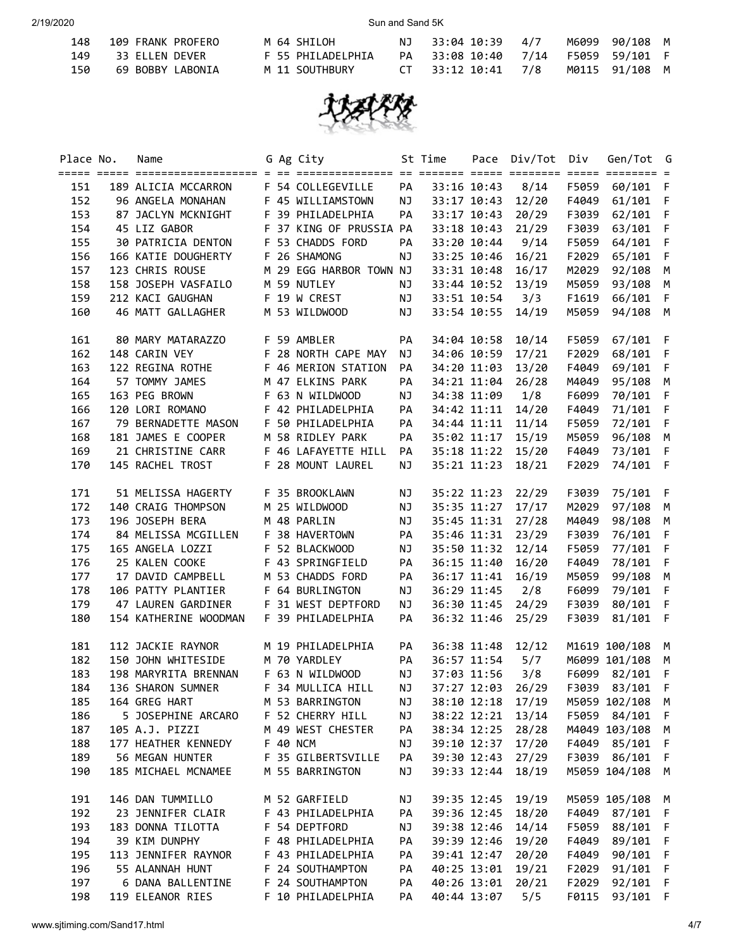| 148 | 109 FRANK PROFERO | M 64 SHILOH       | NJ 33:04 10:39 4/7                 |  | M6099 90/108 M |  |
|-----|-------------------|-------------------|------------------------------------|--|----------------|--|
| 149 | 33 ELLEN DEVER    | F 55 PHILADELPHIA | PA 33:08 10:40 7/14 F5059 59/101 F |  |                |  |
| 150 | 69 BOBBY LABONIA  | M 11 SOUTHBURY    | CT 33:12 10:41 7/8                 |  | M0115 91/108 M |  |



| Place No. | Name                                 |  | G Ag City               |           | St Time |             | Pace Div/Tot Div     |       | Gen/Tot G       |              |
|-----------|--------------------------------------|--|-------------------------|-----------|---------|-------------|----------------------|-------|-----------------|--------------|
| 151       | 189 ALICIA MCCARRON                  |  | F 54 COLLEGEVILLE       | PA        |         | 33:16 10:43 | 8/14                 |       | F5059 60/101 F  |              |
| 152       | 96 ANGELA MONAHAN F 45 WILLIAMSTOWN  |  |                         | NJ        |         |             | 33:17 10:43 12/20    |       | F4049 61/101 F  |              |
| 153       | 87 JACLYN MCKNIGHT F 39 PHILADELPHIA |  |                         | PA        |         | 33:17 10:43 | 20/29                |       | F3039 62/101 F  |              |
| 154       | 45 LIZ GABOR                         |  | F 37 KING OF PRUSSIA PA |           |         | 33:18 10:43 | 21/29                | F3039 | 63/101 F        |              |
| 155       | 30 PATRICIA DENTON                   |  | F 53 CHADDS FORD        | PA        |         | 33:20 10:44 | 9/14                 | F5059 | 64/101 F        |              |
| 156       | 166 KATIE DOUGHERTY                  |  | F 26 SHAMONG            | NJ        |         | 33:25 10:46 | 16/21                |       | F2029 65/101 F  |              |
| 157       | 123 CHRIS ROUSE                      |  | M 29 EGG HARBOR TOWN NJ |           |         | 33:31 10:48 | 16/17                | M2029 | 92/108 M        |              |
| 158       | 158 JOSEPH VASFAILO                  |  | M 59 NUTLEY             | NJ        |         | 33:44 10:52 | 13/19                |       | M5059 93/108 M  |              |
| 159       | 212 KACI GAUGHAN                     |  | F 19 W CREST            | NJ        |         | 33:51 10:54 | 3/3                  |       | F1619 66/101 F  |              |
| 160       | 46 MATT GALLAGHER                    |  | M 53 WILDWOOD           | NJ        |         | 33:54 10:55 | 14/19                |       | M5059 94/108 M  |              |
| 161       | 80 MARY MATARAZZO                    |  | F 59 AMBLER             | PA        |         | 34:04 10:58 | 10/14                | F5059 | 67/101          | - F          |
| 162       | 148 CARIN VEY                        |  | F 28 NORTH CAPE MAY     | NJ        |         | 34:06 10:59 | 17/21                |       | F2029 68/101 F  |              |
| 163       | 122 REGINA ROTHE                     |  | F 46 MERION STATION     | PA        |         | 34:20 11:03 | 13/20                | F4049 | 69/101 F        |              |
| 164       | 57 TOMMY JAMES                       |  | M 47 ELKINS PARK        | PA        |         | 34:21 11:04 | 26/28                | M4049 | 95/108 M        |              |
| 165       | 163 PEG BROWN                        |  | F 63 N WILDWOOD         | <b>NJ</b> |         | 34:38 11:09 | 1/8                  | F6099 | 70/101 F        |              |
| 166       | 120 LORI ROMANO                      |  | F 42 PHILADELPHIA       | PA        |         | 34:42 11:11 | 14/20                | F4049 | 71/101 F        |              |
| 167       | 79 BERNADETTE MASON                  |  | F 50 PHILADELPHIA       | PA        |         | 34:44 11:11 | 11/14                | F5059 | 72/101 F        |              |
| 168       | 181 JAMES E COOPER                   |  | M 58 RIDLEY PARK        | PA        |         | 35:02 11:17 | 15/19                | M5059 | 96/108 M        |              |
| 169       | 21 CHRISTINE CARR                    |  | F 46 LAFAYETTE HILL     | PA        |         | 35:18 11:22 | 15/20                | F4049 | 73/101 F        |              |
| 170       | 145 RACHEL TROST                     |  | F 28 MOUNT LAUREL       | NJ        |         | 35:21 11:23 | 18/21                | F2029 | 74/101 F        |              |
| 171       | 51 MELISSA HAGERTY                   |  | F 35 BROOKLAWN          | NJ        |         |             | 35:22 11:23 22/29    |       | F3039 75/101 F  |              |
| 172       | 140 CRAIG THOMPSON                   |  | M 25 WILDWOOD           | NJ        |         | 35:35 11:27 | 17/17                |       | M2029 97/108 M  |              |
| 173       | 196 JOSEPH BERA                      |  | M 48 PARLIN             | NJ        |         |             | 35:45 11:31 27/28    | M4049 | 98/108 M        |              |
| 174       | 84 MELISSA MCGILLEN                  |  | F 38 HAVERTOWN          | PA        |         |             | 35:46 11:31 23/29    |       | F3039 76/101 F  |              |
| 175       | 165 ANGELA LOZZI                     |  | F 52 BLACKWOOD          | NJ        |         |             | 35:50 11:32 12/14    |       | F5059 77/101 F  |              |
| 176       | 25 KALEN COOKE                       |  | F 43 SPRINGFIELD        | PA        |         | 36:15 11:40 | 16/20                |       | F4049 78/101 F  |              |
| 177       | 17 DAVID CAMPBELL                    |  | M 53 CHADDS FORD        | PA        |         | 36:17 11:41 | 16/19                | M5059 | 99/108 M        |              |
| 178       | 106 PATTY PLANTIER                   |  | F 64 BURLINGTON         | NJ        |         | 36:29 11:45 | 2/8                  | F6099 | 79/101 F        |              |
| 179       | 47 LAUREN GARDINER                   |  | F 31 WEST DEPTFORD      | NJ        |         |             | 36:30 11:45 24/29    | F3039 | 80/101 F        |              |
| 180       | 154 KATHERINE WOODMAN                |  | F 39 PHILADELPHIA       | PA        |         | 36:32 11:46 | 25/29                | F3039 | $81/101$ F      |              |
|           |                                      |  |                         |           |         |             |                      |       |                 |              |
| 181       | 112 JACKIE RAYNOR                    |  | M 19 PHILADELPHIA       | PA        |         | 36:38 11:48 | 12/12                |       | M1619 100/108 M |              |
| 182       | 150 JOHN WHITESIDE                   |  | M 70 YARDLEY            | PA        |         | 36:57 11:54 | 5/7                  |       | M6099 101/108 M |              |
| 183       | 198 MARYRITA BRENNAN                 |  | F 63 N WILDWOOD         | NJ        |         | 37:03 11:56 | 3/8                  |       | F6099 82/101 F  |              |
| 184       | 136 SHARON SUMNER F 34 MULLICA HILL  |  |                         |           |         |             | NJ 37:27 12:03 26/29 |       | F3039 83/101 F  |              |
| 185       | 164 GREG HART                        |  | M 53 BARRINGTON         | ΝJ        |         | 38:10 12:18 | 17/19                |       | M5059 102/108   | M            |
| 186       | 5 JOSEPHINE ARCARO                   |  | F 52 CHERRY HILL        | ΝJ        |         | 38:22 12:21 | 13/14                |       | F5059 84/101    | - F          |
| 187       | 105 A.J. PIZZI                       |  | M 49 WEST CHESTER       | PA        |         | 38:34 12:25 | 28/28                |       | M4049 103/108   | M            |
| 188       | 177 HEATHER KENNEDY                  |  | F 40 NCM                | ΝJ        |         | 39:10 12:37 | 17/20                |       | F4049 85/101    | F            |
| 189       | 56 MEGAN HUNTER                      |  | F 35 GILBERTSVILLE      | PA        |         | 39:30 12:43 | 27/29                |       | F3039 86/101    | -F           |
| 190       | 185 MICHAEL MCNAMEE                  |  | M 55 BARRINGTON         | ΝJ        |         | 39:33 12:44 | 18/19                |       | M5059 104/108   | M            |
| 191       | 146 DAN TUMMILLO                     |  | M 52 GARFIELD           | ΝJ        |         | 39:35 12:45 | 19/19                |       | M5059 105/108   | M            |
| 192       | 23 JENNIFER CLAIR                    |  | F 43 PHILADELPHIA       | PA        |         | 39:36 12:45 | 18/20                |       | F4049 87/101    | F            |
| 193       | 183 DONNA TILOTTA                    |  | F 54 DEPTFORD           | ΝJ        |         | 39:38 12:46 | 14/14                | F5059 | 88/101          | F            |
| 194       | 39 KIM DUNPHY                        |  | F 48 PHILADELPHIA       | PA        |         | 39:39 12:46 | 19/20                | F4049 | 89/101          | F            |
| 195       | 113 JENNIFER RAYNOR                  |  | F 43 PHILADELPHIA       | PA        |         | 39:41 12:47 | 20/20                | F4049 | 90/101          | F            |
| 196       | 55 ALANNAH HUNT                      |  | F 24 SOUTHAMPTON        | PA        |         | 40:25 13:01 | 19/21                | F2029 | 91/101          | F            |
| 197       | 6 DANA BALLENTINE                    |  | F 24 SOUTHAMPTON        | PA        |         | 40:26 13:01 | 20/21                | F2029 | 92/101          | F            |
| 198       | 119 ELEANOR RIES                     |  | F 10 PHILADELPHIA       | PA        |         | 40:44 13:07 | 5/5                  | F0115 | 93/101          | $\mathsf{F}$ |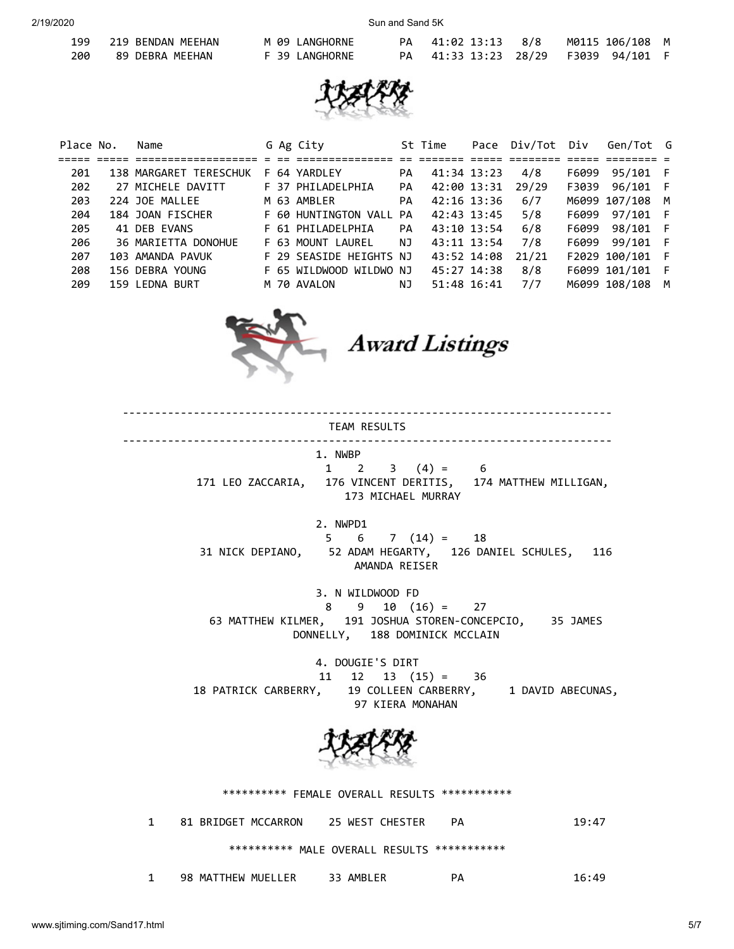199 219 BENDAN

2/19/2020 Sun and Sand 5K

|     | 199 219 BENDAN MEEHAN | M 09 LANGHORNE |  | PA 41:02 13:13 8/8 M0115 106/108 M  |
|-----|-----------------------|----------------|--|-------------------------------------|
| 200 | 89 DEBRA MEEHAN       | F 39 LANGHORNE |  | PA 41:33 13:23 28/29 F3039 94/101 F |



| Place No. | Name                   |  | G Ag City               |    | St Time     | Pace | Div/Tot Div |       | Gen/Tot G       |   |
|-----------|------------------------|--|-------------------------|----|-------------|------|-------------|-------|-----------------|---|
|           |                        |  |                         |    |             |      |             |       |                 |   |
| 201       | 138 MARGARET TERESCHUK |  | F 64 YARDLEY            | PA | 41:34 13:23 |      | 4/8         | F6099 | 95/101 F        |   |
| 202       | 27 MICHELE DAVITT      |  | F 37 PHILADELPHIA       | PA | 42:00 13:31 |      | 29/29       | F3039 | 96/101 F        |   |
| 203       | 224 JOE MALLEE         |  | M 63 AMBLER             | PA | 42:16 13:36 |      | 6/7         |       | M6099 107/108 M |   |
| 204       | 184 JOAN FISCHER       |  | F 60 HUNTINGTON VALL    | PA | 42:43 13:45 |      | 5/8         | F6099 | 97/101 F        |   |
| 205       | 41 DEB EVANS           |  | F 61 PHILADELPHIA       | PA | 43:10 13:54 |      | 6/8         | F6099 | 98/101 F        |   |
| 206       | 36 MARIETTA DONOHUE    |  | F 63 MOUNT LAUREL       | NJ | 43:11 13:54 |      | 7/8         | F6099 | 99/101 F        |   |
| 207       | 103 AMANDA PAVUK       |  | F 29 SEASIDE HEIGHTS NJ |    | 43:52 14:08 |      | 21/21       |       | F2029 100/101 F |   |
| 208       | 156 DEBRA YOUNG        |  | F 65 WILDWOOD WILDWO NJ |    | 45:27 14:38 |      | 8/8         |       | F6099 101/101 F |   |
| 209       | 159 LEDNA BURT         |  | M 70 AVALON             | ΝJ | 51:48 16:41 |      | 7/7         |       | M6099 108/108   | M |



**Award Listings** 

---------------------------------------------------------------------------- TEAM RESULTS ---------------------------------------------------------------------------- 1. NWBP  $1 \t2 \t3 \t(4) = \t6$  171 LEO ZACCARIA, 176 VINCENT DERITIS, 174 MATTHEW MILLIGAN, 173 MICHAEL MURRAY 2. NWPD1  $5 \t 6 \t 7 \t (14) = 18$  31 NICK DEPIANO, 52 ADAM HEGARTY, 126 DANIEL SCHULES, 116 AMANDA REISER 3. N WILDWOOD FD 8 9 10 (16) = 27 63 MATTHEW KILMER, 191 JOSHUA STOREN-CONCEPCIO, 35 JAMES DONNELLY, 188 DOMINICK MCCLAIN 4. DOUGIE'S DIRT  $11 \quad 12 \quad 13 \quad (15) = 36$  18 PATRICK CARBERRY, 19 COLLEEN CARBERRY, 1 DAVID ABECUNAS, 97 KIERA MONAHAN \*\*\*\*\*\*\*\*\*\* FEMALE OVERALL RESULTS \*\*\*\*\*\*\*\*\*\*\*

1 81 BRIDGET MCCARRON 25 WEST CHESTER PA 19:47 \*\*\*\*\*\*\*\*\*\* MALE OVERALL RESULTS \*\*\*\*\*\*\*\*\*\*\*

| <b>MUF</b><br>THEW<br>FR<br>MAT<br>98<br>ΔMRI<br>r<br>__<br>__ |  |
|----------------------------------------------------------------|--|
|----------------------------------------------------------------|--|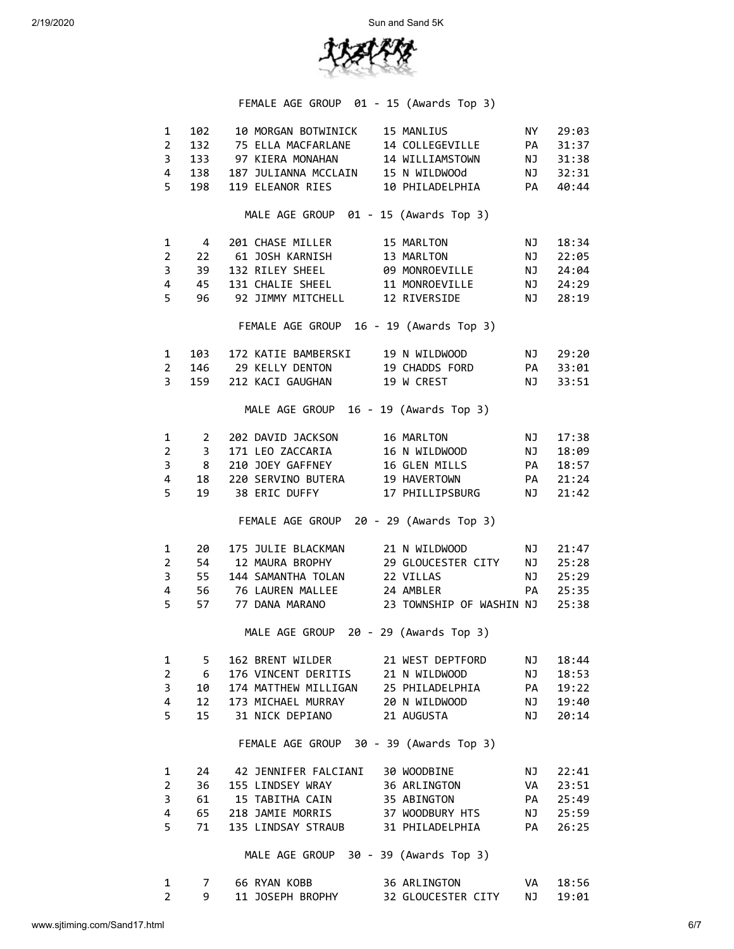

|                         |                         | FEMALE AGE GROUP 01 - 15 (Awards Top 3)                                                                                                                                                                                                             |                                       |           |          |
|-------------------------|-------------------------|-----------------------------------------------------------------------------------------------------------------------------------------------------------------------------------------------------------------------------------------------------|---------------------------------------|-----------|----------|
| $1 \quad$               | 102                     |                                                                                                                                                                                                                                                     | 10 MORGAN BOTWINICK 15 MANLIUS NY     |           | 29:03    |
| $2^{\circ}$             |                         | 132 75 ELLA MACFARLANE 14 COLLEGEVILLE PA                                                                                                                                                                                                           |                                       |           | 31:37    |
| $3^{\circ}$             |                         | 133 97 KIERA MONAHAN 14 WILLIAMSTOWN NJ                                                                                                                                                                                                             |                                       |           | 31:38    |
|                         |                         | 138 187 JULIANNA MCCLAIN 15 N WILDWOOd NJ                                                                                                                                                                                                           |                                       |           |          |
| 4                       |                         |                                                                                                                                                                                                                                                     |                                       |           | 32:31    |
| 5                       | 198                     |                                                                                                                                                                                                                                                     | 119 ELEANOR RIES 10 PHILADELPHIA PA   |           | 40:44    |
|                         |                         | MALE AGE GROUP 01 - 15 (Awards Top 3)                                                                                                                                                                                                               |                                       |           |          |
| 1                       | $\overline{4}$          | 201 CHASE MILLER 15 MARLTON                                                                                                                                                                                                                         |                                       | NJ        | 18:34    |
| 2 <sup>7</sup>          |                         | 22 61 JOSH KARNISH 13 MARLTON 13 NOVEMBER 22:05<br>39 132 RILEY SHEEL 89 MONROEVILLE 11 NJ 24:04<br>45 131 CHALIE SHEEL 11 MONROEVILLE 10 24:29                                                                                                     |                                       |           |          |
| $\mathbf{3}$            |                         |                                                                                                                                                                                                                                                     |                                       |           |          |
| 4                       |                         |                                                                                                                                                                                                                                                     |                                       |           |          |
| 5                       | 96                      | 92 JIMMY MITCHELL 12 RIVERSIDE                                                                                                                                                                                                                      |                                       |           | NJ 28:19 |
|                         |                         | FEMALE AGE GROUP 16 - 19 (Awards Top 3)                                                                                                                                                                                                             |                                       |           |          |
| $1 \quad$               |                         | 103 172 KATIE BAMBERSKI 19 N WILDWOOD                                                                                                                                                                                                               |                                       |           | NJ 29:20 |
| $2^{\circ}$             |                         | 146 29 KELLY DENTON 19 CHADDS FORD PA 33:01                                                                                                                                                                                                         |                                       |           |          |
| $\overline{\mathbf{3}}$ |                         | 159 212 KACI GAUGHAN 19 W CREST NJ 33:51                                                                                                                                                                                                            |                                       |           |          |
|                         |                         | MALE AGE GROUP 16 - 19 (Awards Top 3)                                                                                                                                                                                                               |                                       |           |          |
| $\mathbf{1}$            | $\overline{\mathbf{c}}$ |                                                                                                                                                                                                                                                     |                                       | <b>NJ</b> | 17:38    |
| $2^{\circ}$             | $\overline{\mathbf{3}}$ | 202 DAVID JACKSON 16 MARLTON<br>3 171 LEO ZACCARIA<br>3 171 LEO ZACCARIA<br>3 210 JOEY GAFFNEY<br>16 GLEN MILLS<br>19 HAVERTOWN<br>220 SERVINO BUTERA<br>19 HAVERTOWN<br>21:24<br>19 38 ERIC DUFFY<br>17 PHILLIPSBURG<br>NJ 18:57<br>21:24<br>21:24 |                                       |           |          |
| $\overline{3}$          | 8 <sup>2</sup>          |                                                                                                                                                                                                                                                     |                                       |           |          |
|                         |                         |                                                                                                                                                                                                                                                     |                                       |           |          |
| $\overline{4}$          |                         |                                                                                                                                                                                                                                                     |                                       |           |          |
| 5                       |                         |                                                                                                                                                                                                                                                     |                                       |           |          |
|                         |                         | FEMALE AGE GROUP 20 - 29 (Awards Top 3)                                                                                                                                                                                                             |                                       |           |          |
| $\mathbf{1}$            | 20                      |                                                                                                                                                                                                                                                     | 175 JULIE BLACKMAN 21 N WILDWOOD NJ   |           | 21:47    |
| $2^{\circ}$             |                         | 54 12 MAURA BROPHY 29 GLOUCESTER CITY NJ                                                                                                                                                                                                            |                                       |           | 25:28    |
| $\overline{\mathbf{3}}$ |                         | 55 144 SAMANTHA TOLAN 22 VILLAS                                                                                                                                                                                                                     |                                       | <b>NJ</b> | 25:29    |
| 4                       |                         | 56 76 LAUREN MALLEE 24 AMBLER                                                                                                                                                                                                                       |                                       | <b>PA</b> | 25:35    |
| 5                       |                         | 57 77 DANA MARANO 23 TOWNSHIP OF WASHIN NJ                                                                                                                                                                                                          |                                       |           | 25:38    |
|                         |                         | MALE AGE GROUP 20 - 29 (Awards Top 3)                                                                                                                                                                                                               |                                       |           |          |
| 1                       | 5                       |                                                                                                                                                                                                                                                     | 162 BRENT WILDER 21 WEST DEPTFORD NJ  |           | 18:44    |
| $2^{\circ}$             | - 6                     | 176 VINCENT DERITIS 21 N WILDWOOD                                                                                                                                                                                                                   |                                       | NJ        | 18:53    |
| $\overline{3}$          | 10                      | 174 MATTHEW MILLIGAN                                                                                                                                                                                                                                | 25 PHILADELPHIA                       | <b>PA</b> | 19:22    |
| 4                       | 12                      | 173 MICHAEL MURRAY                                                                                                                                                                                                                                  | 20 N WILDWOOD                         | NJ        | 19:40    |
| 5                       | 15                      | 31 NICK DEPIANO                                                                                                                                                                                                                                     | 21 AUGUSTA                            | NJ        | 20:14    |
|                         |                         | FEMALE AGE GROUP 30 - 39 (Awards Top 3)                                                                                                                                                                                                             |                                       |           |          |
|                         |                         |                                                                                                                                                                                                                                                     |                                       |           |          |
| $\mathbf{1}$            |                         | 24 42 JENNIFER FALCIANI 30 WOODBINE                                                                                                                                                                                                                 |                                       | NJ        | 22:41    |
| $\mathbf{2}^{\prime}$   | 36                      | 155 LINDSEY WRAY 36 ARLINGTON                                                                                                                                                                                                                       |                                       | <b>VA</b> | 23:51    |
| 3                       | 61 —                    | 15 TABITHA CAIN 35 ABINGTON                                                                                                                                                                                                                         |                                       | <b>PA</b> | 25:49    |
| 4                       |                         |                                                                                                                                                                                                                                                     |                                       |           | 25:59    |
| 5                       | 71                      |                                                                                                                                                                                                                                                     | 135 LINDSAY STRAUB 31 PHILADELPHIA PA |           | 26:25    |
|                         |                         | MALE AGE GROUP 30 - 39 (Awards Top 3)                                                                                                                                                                                                               |                                       |           |          |
| 1                       | 7                       | 66 RYAN KOBB                                                                                                                                                                                                                                        | 36 ARLINGTON                          | VA        | 18:56    |
| $\overline{2}$          | 9                       | 11 JOSEPH BROPHY                                                                                                                                                                                                                                    | 32 GLOUCESTER CITY                    | NJ        | 19:01    |